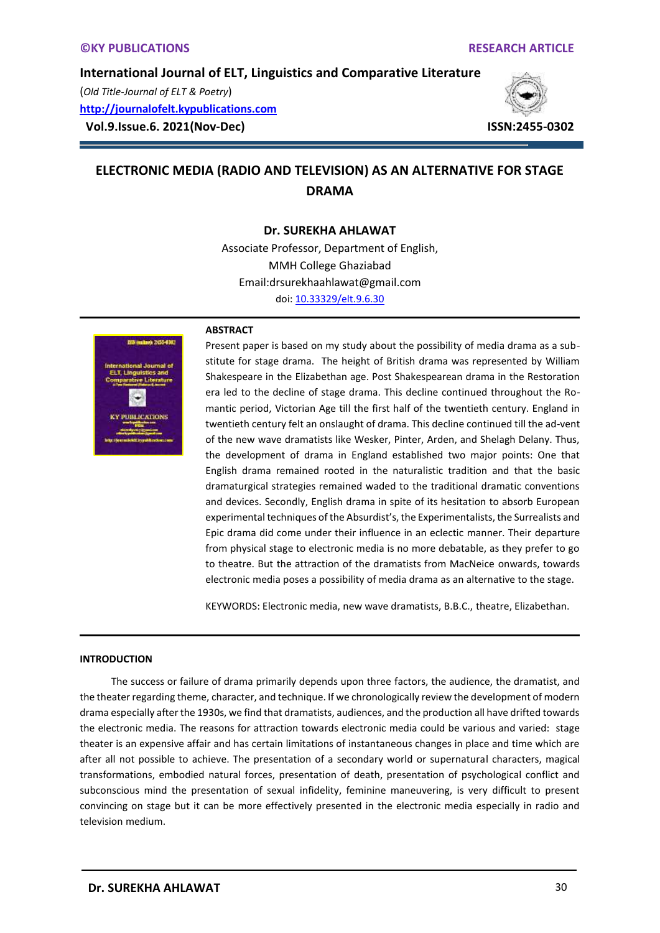(*Old Title-Journal of ELT & Poetry*) **[http://journalofelt.kypublications.com](http://journalofelt.kypublications.com/) Vol.9.Issue.6. 2021(Nov-Dec) ISSN:2455-0302**



## **ELECTRONIC MEDIA (RADIO AND TELEVISION) AS AN ALTERNATIVE FOR STAGE DRAMA**

#### **Dr. SUREKHA AHLAWAT**

Associate Professor, Department of English, MMH College Ghaziabad Email:drsurekhaahlawat@gmail.com doi[: 10.33329/elt.9.6.30](http://journalofelt.kypublications.com/)



#### **ABSTRACT**

Present paper is based on my study about the possibility of media drama as a substitute for stage drama. The height of British drama was represented by William Shakespeare in the Elizabethan age. Post Shakespearean drama in the Restoration era led to the decline of stage drama. This decline continued throughout the Romantic period, Victorian Age till the first half of the twentieth century. England in twentieth century felt an onslaught of drama. This decline continued till the ad-vent of the new wave dramatists like Wesker, Pinter, Arden, and Shelagh Delany. Thus, the development of drama in England established two major points: One that English drama remained rooted in the naturalistic tradition and that the basic dramaturgical strategies remained waded to the traditional dramatic conventions and devices. Secondly, English drama in spite of its hesitation to absorb European experimental techniques of the Absurdist's, the Experimentalists, the Surrealists and Epic drama did come under their influence in an eclectic manner. Their departure from physical stage to electronic media is no more debatable, as they prefer to go to theatre. But the attraction of the dramatists from MacNeice onwards, towards electronic media poses a possibility of media drama as an alternative to the stage.

KEYWORDS: Electronic media, new wave dramatists, B.B.C., theatre, Elizabethan.

#### **INTRODUCTION**

The success or failure of drama primarily depends upon three factors, the audience, the dramatist, and the theater regarding theme, character, and technique. If we chronologically review the development of modern drama especially after the 1930s, we find that dramatists, audiences, and the production all have drifted towards the electronic media. The reasons for attraction towards electronic media could be various and varied: stage theater is an expensive affair and has certain limitations of instantaneous changes in place and time which are after all not possible to achieve. The presentation of a secondary world or supernatural characters, magical transformations, embodied natural forces, presentation of death, presentation of psychological conflict and subconscious mind the presentation of sexual infidelity, feminine maneuvering, is very difficult to present convincing on stage but it can be more effectively presented in the electronic media especially in radio and television medium.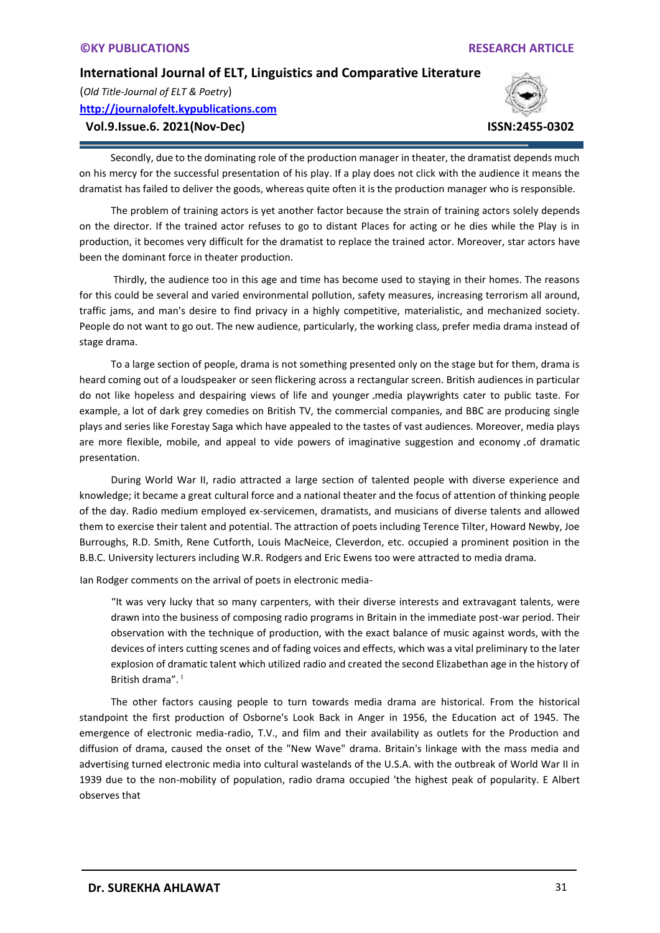(*Old Title-Journal of ELT & Poetry*) **[http://journalofelt.kypublications.com](http://journalofelt.kypublications.com/) Vol.9.Issue.6. 2021(Nov-Dec) ISSN:2455-0302**



Secondly, due to the dominating role of the production manager in theater, the dramatist depends much on his mercy for the successful presentation of his play. If a play does not click with the audience it means the dramatist has failed to deliver the goods, whereas quite often it is the production manager who is responsible.

The problem of training actors is yet another factor because the strain of training actors solely depends on the director. If the trained actor refuses to go to distant Places for acting or he dies while the Play is in production, it becomes very difficult for the dramatist to replace the trained actor. Moreover, star actors have been the dominant force in theater production.

Thirdly, the audience too in this age and time has become used to staying in their homes. The reasons for this could be several and varied environmental pollution, safety measures, increasing terrorism all around, traffic jams, and man's desire to find privacy in a highly competitive, materialistic, and mechanized society. People do not want to go out. The new audience, particularly, the working class, prefer media drama instead of stage drama.

To a large section of people, drama is not something presented only on the stage but for them, drama is heard coming out of a loudspeaker or seen flickering across a rectangular screen. British audiences in particular do not like hopeless and despairing views of life and younger media playwrights cater to public taste. For example, a lot of dark grey comedies on British TV, the commercial companies, and BBC are producing single plays and series like Forestay Saga which have appealed to the tastes of vast audiences. Moreover, media plays are more flexible, mobile, and appeal to vide powers of imaginative suggestion and economy of dramatic presentation.

During World War II, radio attracted a large section of talented people with diverse experience and knowledge; it became a great cultural force and a national theater and the focus of attention of thinking people of the day. Radio medium employed ex-servicemen, dramatists, and musicians of diverse talents and allowed them to exercise their talent and potential. The attraction of poets including Terence Tilter, Howard Newby, Joe Burroughs, R.D. Smith, Rene Cutforth, Louis MacNeice, Cleverdon, etc. occupied a prominent position in the B.B.C. University lecturers including W.R. Rodgers and Eric Ewens too were attracted to media drama.

Ian Rodger comments on the arrival of poets in electronic media-

"It was very lucky that so many carpenters, with their diverse interests and extravagant talents, were drawn into the business of composing radio programs in Britain in the immediate post-war period. Their observation with the technique of production, with the exact balance of music against words, with the devices of inters cutting scenes and of fading voices and effects, which was a vital preliminary to the later explosion of dramatic talent which utilized radio and created the second Elizabethan age in the history of British drama".

The other factors causing people to turn towards media drama are historical. From the historical standpoint the first production of Osborne's Look Back in Anger in 1956, the Education act of 1945. The emergence of electronic media-radio, T.V., and film and their availability as outlets for the Production and diffusion of drama, caused the onset of the "New Wave" drama. Britain's linkage with the mass media and advertising turned electronic media into cultural wastelands of the U.S.A. with the outbreak of World War II in 1939 due to the non-mobility of population, radio drama occupied 'the highest peak of popularity. E Albert observes that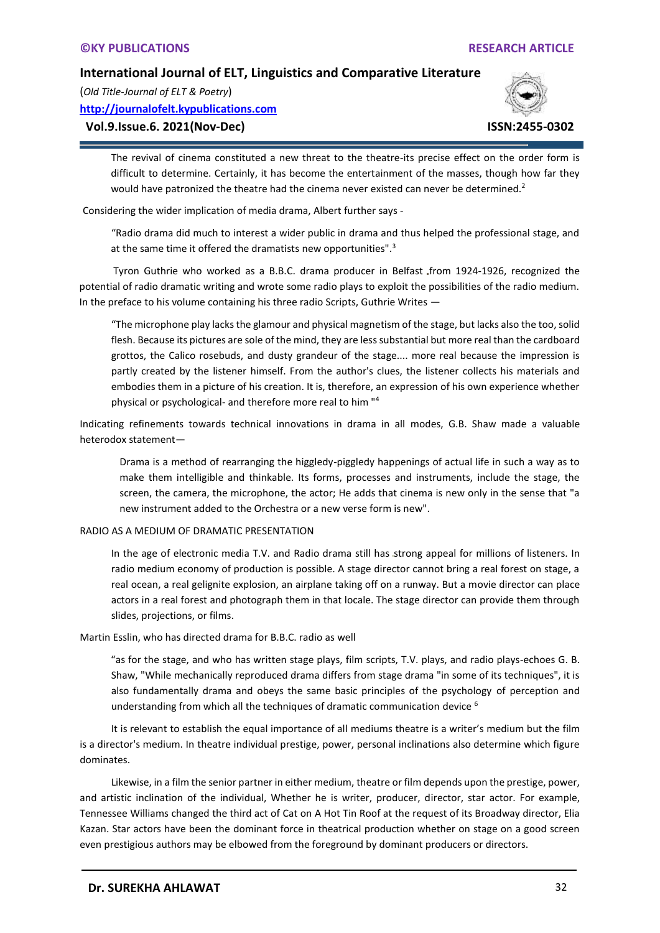(*Old Title-Journal of ELT & Poetry*) **[http://journalofelt.kypublications.com](http://journalofelt.kypublications.com/)**

#### **Vol.9.Issue.6. 2021(Nov-Dec) ISSN:2455-0302**



The revival of cinema constituted a new threat to the theatre-its precise effect on the order form is difficult to determine. Certainly, it has become the entertainment of the masses, though how far they would have patronized the theatre had the cinema never existed can never be determined.<sup>2</sup>

Considering the wider implication of media drama, Albert further says -

"Radio drama did much to interest a wider public in drama and thus helped the professional stage, and at the same time it offered the dramatists new opportunities".<sup>3</sup>

Tyron Guthrie who worked as a B.B.C. drama producer in Belfast from 1924-1926, recognized the potential of radio dramatic writing and wrote some radio plays to exploit the possibilities of the radio medium. In the preface to his volume containing his three radio Scripts, Guthrie Writes —

"The microphone play lacks the glamour and physical magnetism of the stage, but lacks also the too, solid flesh. Because its pictures are sole of the mind, they are less substantial but more real than the cardboard grottos, the Calico rosebuds, and dusty grandeur of the stage.... more real because the impression is partly created by the listener himself. From the author's clues, the listener collects his materials and embodies them in a picture of his creation. It is, therefore, an expression of his own experience whether physical or psychological- and therefore more real to him "<sup>4</sup>

Indicating refinements towards technical innovations in drama in all modes, G.B. Shaw made a valuable heterodox statement—

Drama is a method of rearranging the higgledy-piggledy happenings of actual life in such a way as to make them intelligible and thinkable. Its forms, processes and instruments, include the stage, the screen, the camera, the microphone, the actor; He adds that cinema is new only in the sense that "a new instrument added to the Orchestra or a new verse form is new".

#### RADIO AS A MEDIUM OF DRAMATIC PRESENTATION

In the age of electronic media T.V. and Radio drama still has strong appeal for millions of listeners. In radio medium economy of production is possible. A stage director cannot bring a real forest on stage, a real ocean, a real gelignite explosion, an airplane taking off on a runway. But a movie director can place actors in a real forest and photograph them in that locale. The stage director can provide them through slides, projections, or films.

Martin Esslin, who has directed drama for B.B.C. radio as well

"as for the stage, and who has written stage plays, film scripts, T.V. plays, and radio plays-echoes G. B. Shaw, "While mechanically reproduced drama differs from stage drama "in some of its techniques", it is also fundamentally drama and obeys the same basic principles of the psychology of perception and understanding from which all the techniques of dramatic communication device <sup>6</sup>

It is relevant to establish the equal importance of all mediums theatre is a writer's medium but the film is a director's medium. In theatre individual prestige, power, personal inclinations also determine which figure dominates.

Likewise, in a film the senior partner in either medium, theatre or film depends upon the prestige, power, and artistic inclination of the individual, Whether he is writer, producer, director, star actor. For example, Tennessee Williams changed the third act of Cat on A Hot Tin Roof at the request of its Broadway director, Elia Kazan. Star actors have been the dominant force in theatrical production whether on stage on a good screen even prestigious authors may be elbowed from the foreground by dominant producers or directors.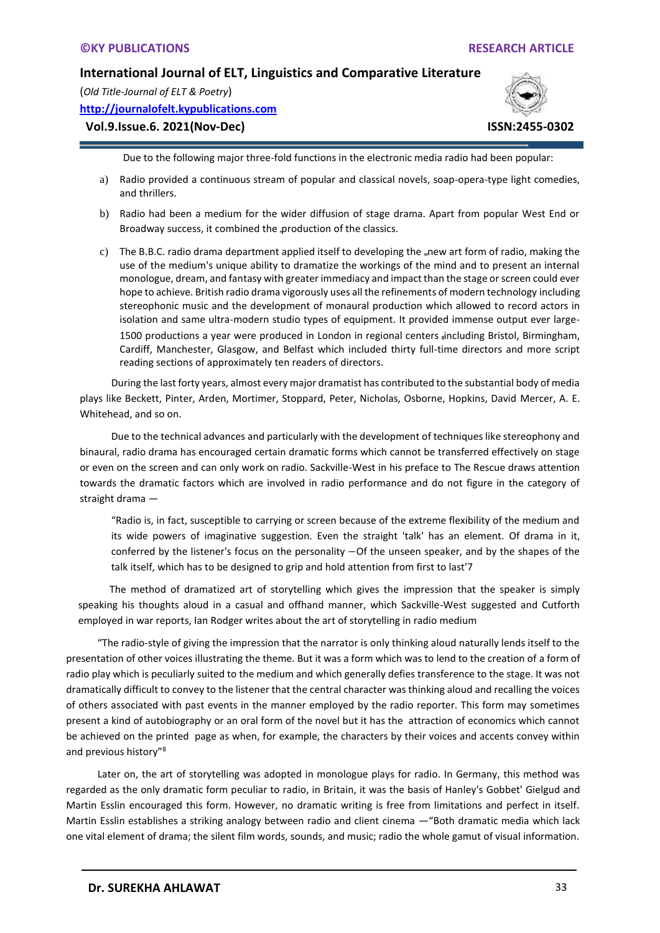(*Old Title-Journal of ELT & Poetry*) **[http://journalofelt.kypublications.com](http://journalofelt.kypublications.com/)**

## **Vol.9.Issue.6. 2021(Nov-Dec) ISSN:2455-0302**



Due to the following major three-fold functions in the electronic media radio had been popular:

- a) Radio provided a continuous stream of popular and classical novels, soap-opera-type light comedies, and thrillers.
- b) Radio had been a medium for the wider diffusion of stage drama. Apart from popular West End or Broadway success, it combined the production of the classics.
- c) The B.B.C. radio drama department applied itself to developing the new art form of radio, making the use of the medium's unique ability to dramatize the workings of the mind and to present an internal monologue, dream, and fantasy with greater immediacy and impact than the stage or screen could ever hope to achieve. British radio drama vigorously uses all the refinements of modern technology including stereophonic music and the development of monaural production which allowed to record actors in isolation and same ultra-modern studio types of equipment. It provided immense output ever large-1500 productions a year were produced in London in regional centers including Bristol, Birmingham, Cardiff, Manchester, Glasgow, and Belfast which included thirty full-time directors and more script reading sections of approximately ten readers of directors.

During the last forty years, almost every major dramatist has contributed to the substantial body of media plays like Beckett, Pinter, Arden, Mortimer, Stoppard, Peter, Nicholas, Osborne, Hopkins, David Mercer, A. E. Whitehead, and so on.

Due to the technical advances and particularly with the development of techniques like stereophony and binaural, radio drama has encouraged certain dramatic forms which cannot be transferred effectively on stage or even on the screen and can only work on radio. Sackville-West in his preface to The Rescue draws attention towards the dramatic factors which are involved in radio performance and do not figure in the category of straight drama —

"Radio is, in fact, susceptible to carrying or screen because of the extreme flexibility of the medium and its wide powers of imaginative suggestion. Even the straight 'talk' has an element. Of drama in it, conferred by the listener's focus on the personality −Of the unseen speaker, and by the shapes of the talk itself, which has to be designed to grip and hold attention from first to last'7

The method of dramatized art of storytelling which gives the impression that the speaker is simply speaking his thoughts aloud in a casual and offhand manner, which Sackville-West suggested and Cutforth employed in war reports, Ian Rodger writes about the art of storytelling in radio medium

"The radio-style of giving the impression that the narrator is only thinking aloud naturally lends itself to the presentation of other voices illustrating the theme. But it was a form which was to lend to the creation of a form of radio play which is peculiarly suited to the medium and which generally defies transference to the stage. It was not dramatically difficult to convey to the listener that the central character was thinking aloud and recalling the voices of others associated with past events in the manner employed by the radio reporter. This form may sometimes present a kind of autobiography or an oral form of the novel but it has the attraction of economics which cannot be achieved on the printed page as when, for example, the characters by their voices and accents convey within and previous history"<sup>8</sup>

Later on, the art of storytelling was adopted in monologue plays for radio. In Germany, this method was regarded as the only dramatic form peculiar to radio, in Britain, it was the basis of Hanley's Gobbet' Gielgud and Martin Esslin encouraged this form. However, no dramatic writing is free from limitations and perfect in itself. Martin Esslin establishes a striking analogy between radio and client cinema —"Both dramatic media which lack one vital element of drama; the silent film words, sounds, and music; radio the whole gamut of visual information.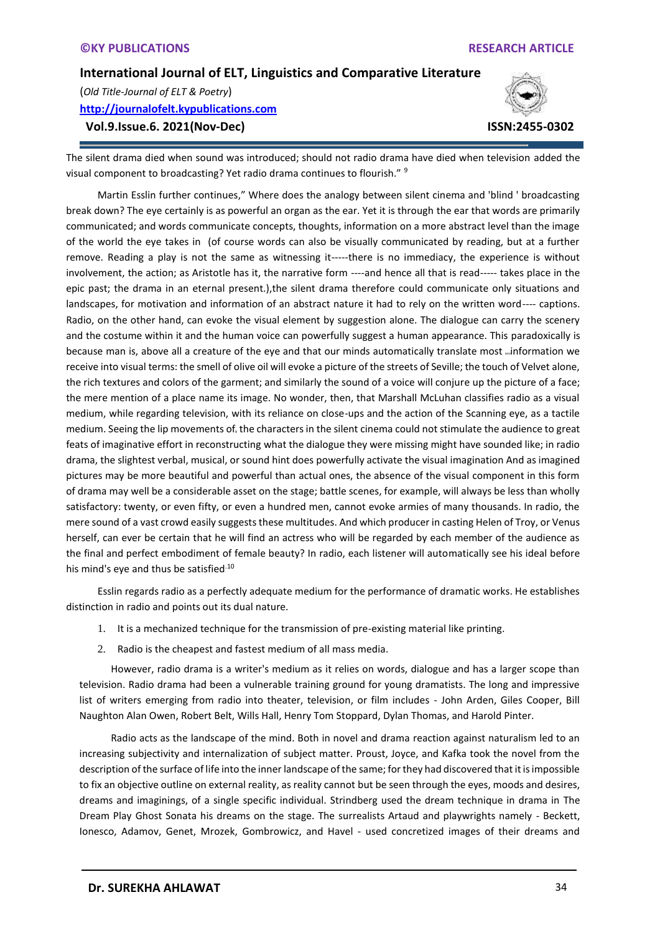(*Old Title-Journal of ELT & Poetry*) **[http://journalofelt.kypublications.com](http://journalofelt.kypublications.com/) Vol.9.Issue.6. 2021(Nov-Dec) ISSN:2455-0302**



The silent drama died when sound was introduced; should not radio drama have died when television added the visual component to broadcasting? Yet radio drama continues to flourish." <sup>9</sup>

Martin Esslin further continues," Where does the analogy between silent cinema and 'blind ' broadcasting break down? The eye certainly is as powerful an organ as the ear. Yet it is through the ear that words are primarily communicated; and words communicate concepts, thoughts, information on a more abstract level than the image of the world the eye takes in (of course words can also be visually communicated by reading, but at a further remove. Reading a play is not the same as witnessing it-----there is no immediacy, the experience is without involvement, the action; as Aristotle has it, the narrative form ----and hence all that is read----- takes place in the epic past; the drama in an eternal present.),the silent drama therefore could communicate only situations and landscapes, for motivation and information of an abstract nature it had to rely on the written word---- captions. Radio, on the other hand, can evoke the visual element by suggestion alone. The dialogue can carry the scenery and the costume within it and the human voice can powerfully suggest a human appearance. This paradoxically is because man is, above all a creature of the eye and that our minds automatically translate most Linformation we receive into visual terms: the smell of olive oil will evoke a picture of the streets of Seville; the touch of Velvet alone, the rich textures and colors of the garment; and similarly the sound of a voice will conjure up the picture of a face; the mere mention of a place name its image. No wonder, then, that Marshall McLuhan classifies radio as a visual medium, while regarding television, with its reliance on close-ups and the action of the Scanning eye, as a tactile medium. Seeing the lip movements of the characters in the silent cinema could not stimulate the audience to great feats of imaginative effort in reconstructing what the dialogue they were missing might have sounded like; in radio drama, the slightest verbal, musical, or sound hint does powerfully activate the visual imagination And as imagined pictures may be more beautiful and powerful than actual ones, the absence of the visual component in this form of drama may well be a considerable asset on the stage; battle scenes, for example, will always be less than wholly satisfactory: twenty, or even fifty, or even a hundred men, cannot evoke armies of many thousands. In radio, the mere sound of a vast crowd easily suggests these multitudes. And which producer in casting Helen of Troy, or Venus herself, can ever be certain that he will find an actress who will be regarded by each member of the audience as the final and perfect embodiment of female beauty? In radio, each listener will automatically see his ideal before his mind's eye and thus be satisfied.<sup>10</sup>

Esslin regards radio as a perfectly adequate medium for the performance of dramatic works. He establishes distinction in radio and points out its dual nature.

- 1. It is a mechanized technique for the transmission of pre-existing material like printing.
- 2. Radio is the cheapest and fastest medium of all mass media.

However, radio drama is a writer's medium as it relies on words, dialogue and has a larger scope than television. Radio drama had been a vulnerable training ground for young dramatists. The long and impressive list of writers emerging from radio into theater, television, or film includes - John Arden, Giles Cooper, Bill Naughton Alan Owen, Robert Belt, Wills Hall, Henry Tom Stoppard, Dylan Thomas, and Harold Pinter.

Radio acts as the landscape of the mind. Both in novel and drama reaction against naturalism led to an increasing subjectivity and internalization of subject matter. Proust, Joyce, and Kafka took the novel from the description of the surface of life into the inner landscape of the same; for they had discovered that it is impossible to fix an objective outline on external reality, as reality cannot but be seen through the eyes, moods and desires, dreams and imaginings, of a single specific individual. Strindberg used the dream technique in drama in The Dream Play Ghost Sonata his dreams on the stage. The surrealists Artaud and playwrights namely - Beckett, Ionesco, Adamov, Genet, Mrozek, Gombrowicz, and Havel - used concretized images of their dreams and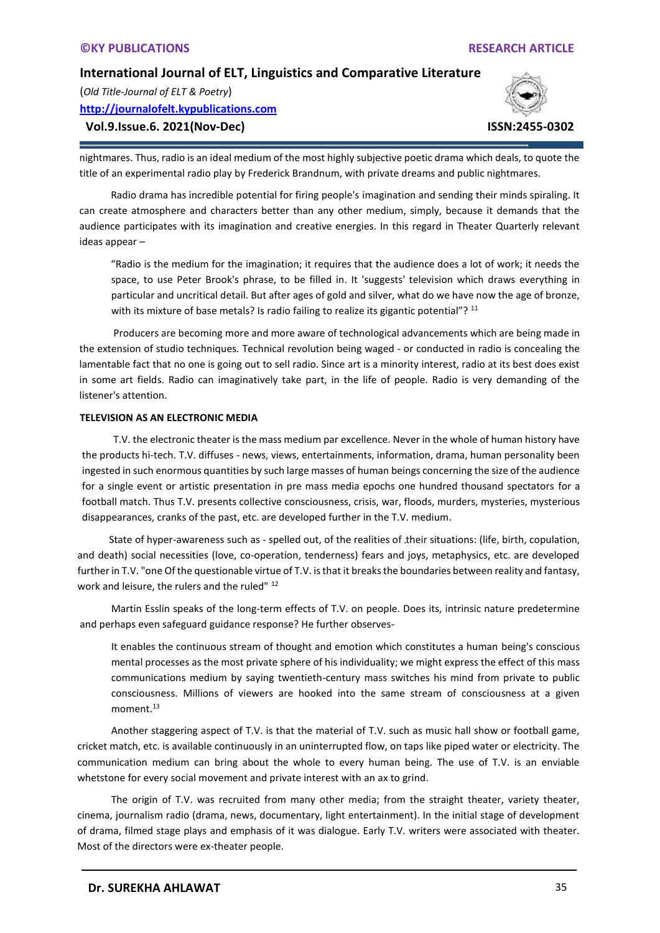(*Old Title-Journal of ELT & Poetry*) **[http://journalofelt.kypublications.com](http://journalofelt.kypublications.com/) Vol.9.Issue.6. 2021(Nov-Dec) ISSN:2455-0302**



nightmares. Thus, radio is an ideal medium of the most highly subjective poetic drama which deals, to quote the title of an experimental radio play by Frederick Brandnum, with private dreams and public nightmares.

Radio drama has incredible potential for firing people's imagination and sending their minds spiraling. It can create atmosphere and characters better than any other medium, simply, because it demands that the audience participates with its imagination and creative energies. In this regard in Theater Quarterly relevant ideas appear –

"Radio is the medium for the imagination; it requires that the audience does a lot of work; it needs the space, to use Peter Brook's phrase, to be filled in. It 'suggests' television which draws everything in particular and uncritical detail. But after ages of gold and silver, what do we have now the age of bronze, with its mixture of base metals? Is radio failing to realize its gigantic potential"? <sup>11</sup>

Producers are becoming more and more aware of technological advancements which are being made in the extension of studio techniques. Technical revolution being waged - or conducted in radio is concealing the lamentable fact that no one is going out to sell radio. Since art is a minority interest, radio at its best does exist in some art fields. Radio can imaginatively take part, in the life of people. Radio is very demanding of the listener's attention.

#### **TELEVISION AS AN ELECTRONIC MEDIA**

T.V. the electronic theater is the mass medium par excellence. Never in the whole of human history have the products hi-tech. T.V. diffuses - news, views, entertainments, information, drama, human personality been ingested in such enormous quantities by such large masses of human beings concerning the size of the audience for a single event or artistic presentation in pre mass media epochs one hundred thousand spectators for a football match. Thus T.V. presents collective consciousness, crisis, war, floods, murders, mysteries, mysterious disappearances, cranks of the past, etc. are developed further in the T.V. medium.

State of hyper-awareness such as - spelled out, of the realities of their situations: (life, birth, copulation, and death) social necessities (love, co-operation, tenderness) fears and joys, metaphysics, etc. are developed further in T.V. "one Of the questionable virtue of T.V. is that it breaks the boundaries between reality and fantasy, work and leisure, the rulers and the ruled" <sup>12</sup>

Martin Esslin speaks of the long-term effects of T.V. on people. Does its, intrinsic nature predetermine and perhaps even safeguard guidance response? He further observes-

It enables the continuous stream of thought and emotion which constitutes a human being's conscious mental processes as the most private sphere of his individuality; we might express the effect of this mass communications medium by saying twentieth-century mass switches his mind from private to public consciousness. Millions of viewers are hooked into the same stream of consciousness at a given moment.<sup>13</sup>

Another staggering aspect of T.V. is that the material of T.V. such as music hall show or football game, cricket match, etc. is available continuously in an uninterrupted flow, on taps like piped water or electricity. The communication medium can bring about the whole to every human being. The use of T.V. is an enviable whetstone for every social movement and private interest with an ax to grind.

The origin of T.V. was recruited from many other media; from the straight theater, variety theater, cinema, journalism radio (drama, news, documentary, light entertainment). In the initial stage of development of drama, filmed stage plays and emphasis of it was dialogue. Early T.V. writers were associated with theater. Most of the directors were ex-theater people.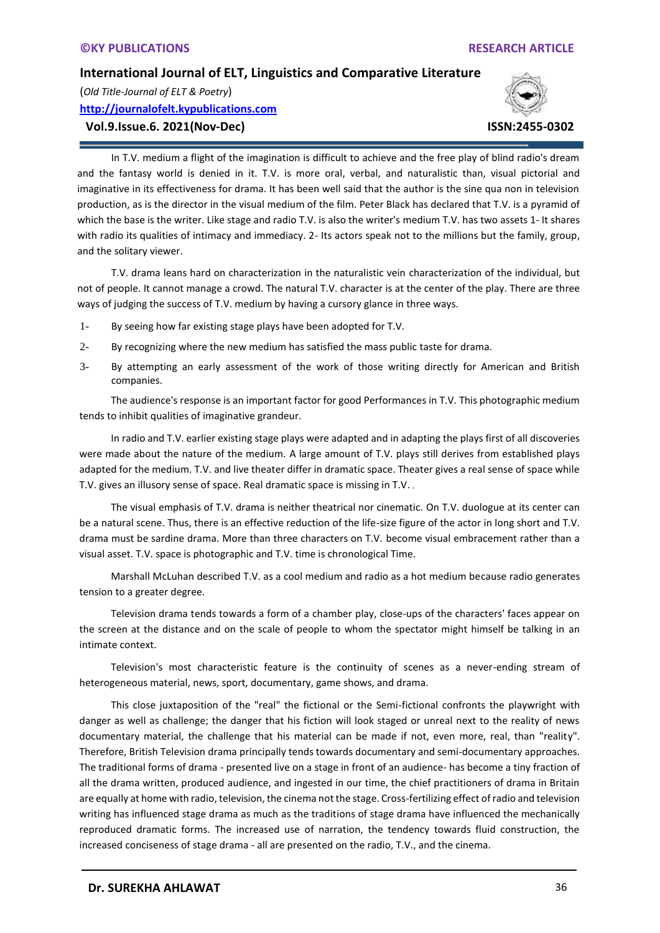(*Old Title-Journal of ELT & Poetry*) **[http://journalofelt.kypublications.com](http://journalofelt.kypublications.com/)**

#### **Vol.9.Issue.6. 2021(Nov-Dec) ISSN:2455-0302**



In T.V. medium a flight of the imagination is difficult to achieve and the free play of blind radio's dream and the fantasy world is denied in it. T.V. is more oral, verbal, and naturalistic than, visual pictorial and imaginative in its effectiveness for drama. It has been well said that the author is the sine qua non in television production, as is the director in the visual medium of the film. Peter Black has declared that T.V. is a pyramid of which the base is the writer. Like stage and radio T.V. is also the writer's medium T.V. has two assets 1- It shares with radio its qualities of intimacy and immediacy. 2- Its actors speak not to the millions but the family, group, and the solitary viewer.

T.V. drama leans hard on characterization in the naturalistic vein characterization of the individual, but not of people. It cannot manage a crowd. The natural T.V. character is at the center of the play. There are three ways of judging the success of T.V. medium by having a cursory glance in three ways.

- 1- By seeing how far existing stage plays have been adopted for T.V.
- 2- By recognizing where the new medium has satisfied the mass public taste for drama.
- 3- By attempting an early assessment of the work of those writing directly for American and British companies.

The audience's response is an important factor for good Performances in T.V. This photographic medium tends to inhibit qualities of imaginative grandeur.

In radio and T.V. earlier existing stage plays were adapted and in adapting the plays first of all discoveries were made about the nature of the medium. A large amount of T.V. plays still derives from established plays adapted for the medium. T.V. and live theater differ in dramatic space. Theater gives a real sense of space while T.V. gives an illusory sense of space. Real dramatic space is missing in T.V.

The visual emphasis of T.V. drama is neither theatrical nor cinematic. On T.V. duologue at its center can be a natural scene. Thus, there is an effective reduction of the life-size figure of the actor in long short and T.V. drama must be sardine drama. More than three characters on T.V. become visual embracement rather than a visual asset. T.V. space is photographic and T.V. time is chronological Time.

Marshall McLuhan described T.V. as a cool medium and radio as a hot medium because radio generates tension to a greater degree.

Television drama tends towards a form of a chamber play, close-ups of the characters' faces appear on the screen at the distance and on the scale of people to whom the spectator might himself be talking in an intimate context.

Television's most characteristic feature is the continuity of scenes as a never-ending stream of heterogeneous material, news, sport, documentary, game shows, and drama.

This close juxtaposition of the "real" the fictional or the Semi-fictional confronts the playwright with danger as well as challenge; the danger that his fiction will look staged or unreal next to the reality of news documentary material, the challenge that his material can be made if not, even more, real, than "reality". Therefore, British Television drama principally tends towards documentary and semi-documentary approaches. The traditional forms of drama - presented live on a stage in front of an audience- has become a tiny fraction of all the drama written, produced audience, and ingested in our time, the chief practitioners of drama in Britain are equally at home with radio, television, the cinema not the stage. Cross-fertilizing effect of radio and television writing has influenced stage drama as much as the traditions of stage drama have influenced the mechanically reproduced dramatic forms. The increased use of narration, the tendency towards fluid construction, the increased conciseness of stage drama - all are presented on the radio, T.V., and the cinema.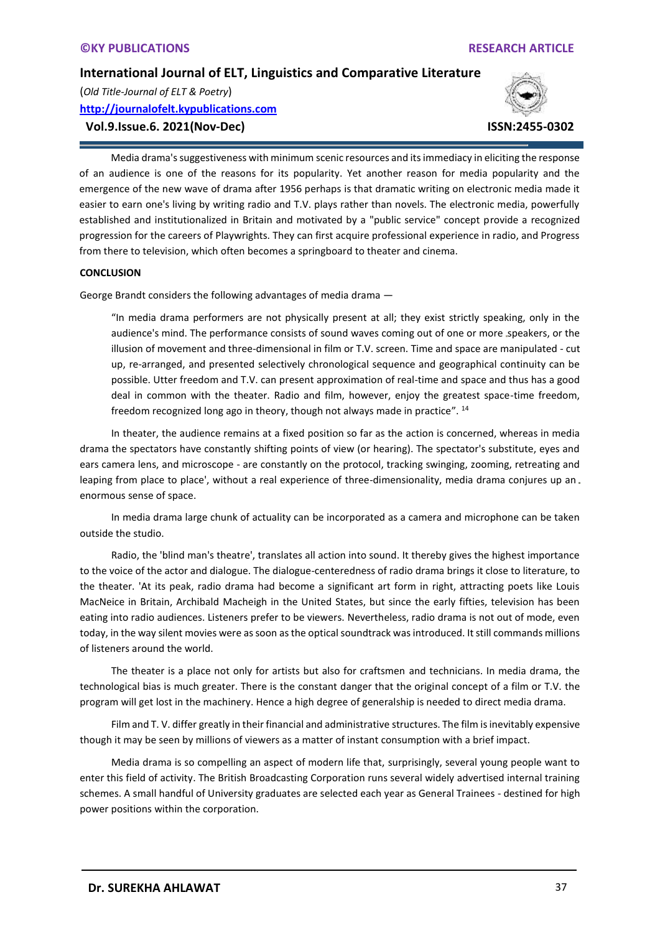(*Old Title-Journal of ELT & Poetry*) **[http://journalofelt.kypublications.com](http://journalofelt.kypublications.com/)**

### **Vol.9.Issue.6. 2021(Nov-Dec) ISSN:2455-0302**



Media drama's suggestiveness with minimum scenic resources and its immediacy in eliciting the response of an audience is one of the reasons for its popularity. Yet another reason for media popularity and the emergence of the new wave of drama after 1956 perhaps is that dramatic writing on electronic media made it easier to earn one's living by writing radio and T.V. plays rather than novels. The electronic media, powerfully established and institutionalized in Britain and motivated by a "public service" concept provide a recognized progression for the careers of Playwrights. They can first acquire professional experience in radio, and Progress from there to television, which often becomes a springboard to theater and cinema.

#### **CONCLUSION**

George Brandt considers the following advantages of media drama —

"In media drama performers are not physically present at all; they exist strictly speaking, only in the audience's mind. The performance consists of sound waves coming out of one or more speakers, or the illusion of movement and three-dimensional in film or T.V. screen. Time and space are manipulated - cut up, re-arranged, and presented selectively chronological sequence and geographical continuity can be possible. Utter freedom and T.V. can present approximation of real-time and space and thus has a good deal in common with the theater. Radio and film, however, enjoy the greatest space-time freedom, freedom recognized long ago in theory, though not always made in practice". <sup>14</sup>

In theater, the audience remains at a fixed position so far as the action is concerned, whereas in media drama the spectators have constantly shifting points of view (or hearing). The spectator's substitute, eyes and ears camera lens, and microscope - are constantly on the protocol, tracking swinging, zooming, retreating and leaping from place to place', without a real experience of three-dimensionality, media drama conjures up an. enormous sense of space.

In media drama large chunk of actuality can be incorporated as a camera and microphone can be taken outside the studio.

Radio, the 'blind man's theatre', translates all action into sound. It thereby gives the highest importance to the voice of the actor and dialogue. The dialogue-centeredness of radio drama brings it close to literature, to the theater. 'At its peak, radio drama had become a significant art form in right, attracting poets like Louis MacNeice in Britain, Archibald Macheigh in the United States, but since the early fifties, television has been eating into radio audiences. Listeners prefer to be viewers. Nevertheless, radio drama is not out of mode, even today, in the way silent movies were as soon as the optical soundtrack was introduced. It still commands millions of listeners around the world.

The theater is a place not only for artists but also for craftsmen and technicians. In media drama, the technological bias is much greater. There is the constant danger that the original concept of a film or T.V. the program will get lost in the machinery. Hence a high degree of generalship is needed to direct media drama.

Film and T. V. differ greatly in their financial and administrative structures. The film is inevitably expensive though it may be seen by millions of viewers as a matter of instant consumption with a brief impact.

Media drama is so compelling an aspect of modern life that, surprisingly, several young people want to enter this field of activity. The British Broadcasting Corporation runs several widely advertised internal training schemes. A small handful of University graduates are selected each year as General Trainees - destined for high power positions within the corporation.